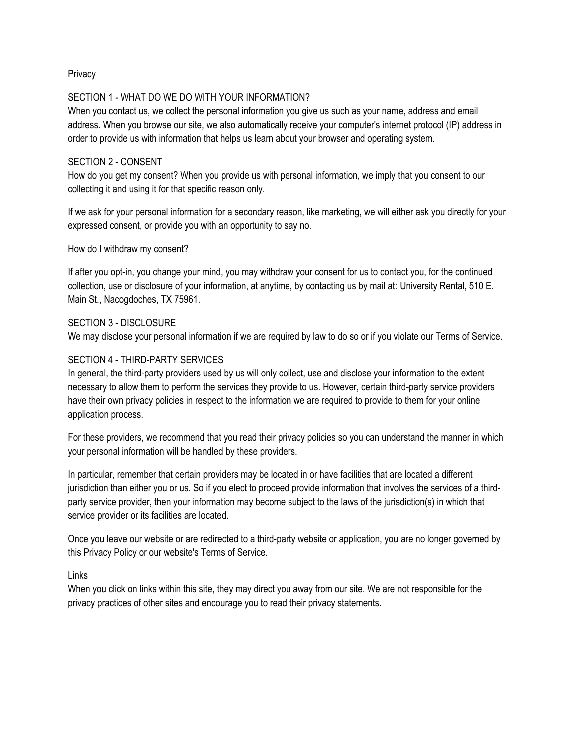## **Privacy**

### SECTION 1 - WHAT DO WE DO WITH YOUR INFORMATION?

When you contact us, we collect the personal information you give us such as your name, address and email address. When you browse our site, we also automatically receive your computer's internet protocol (IP) address in order to provide us with information that helps us learn about your browser and operating system.

### SECTION 2 - CONSENT

How do you get my consent? When you provide us with personal information, we imply that you consent to our collecting it and using it for that specific reason only.

If we ask for your personal information for a secondary reason, like marketing, we will either ask you directly for your expressed consent, or provide you with an opportunity to say no.

How do I withdraw my consent?

If after you opt-in, you change your mind, you may withdraw your consent for us to contact you, for the continued collection, use or disclosure of your information, at anytime, by contacting us by mail at: University Rental, 510 E. Main St., Nacogdoches, TX 75961.

### SECTION 3 - DISCLOSURE

We may disclose your personal information if we are required by law to do so or if you violate our Terms of Service.

### SECTION 4 - THIRD-PARTY SERVICES

In general, the third-party providers used by us will only collect, use and disclose your information to the extent necessary to allow them to perform the services they provide to us. However, certain third-party service providers have their own privacy policies in respect to the information we are required to provide to them for your online application process.

For these providers, we recommend that you read their privacy policies so you can understand the manner in which your personal information will be handled by these providers.

In particular, remember that certain providers may be located in or have facilities that are located a different jurisdiction than either you or us. So if you elect to proceed provide information that involves the services of a thirdparty service provider, then your information may become subject to the laws of the jurisdiction(s) in which that service provider or its facilities are located.

Once you leave our website or are redirected to a third-party website or application, you are no longer governed by this Privacy Policy or our website's Terms of Service.

Links

When you click on links within this site, they may direct you away from our site. We are not responsible for the privacy practices of other sites and encourage you to read their privacy statements.